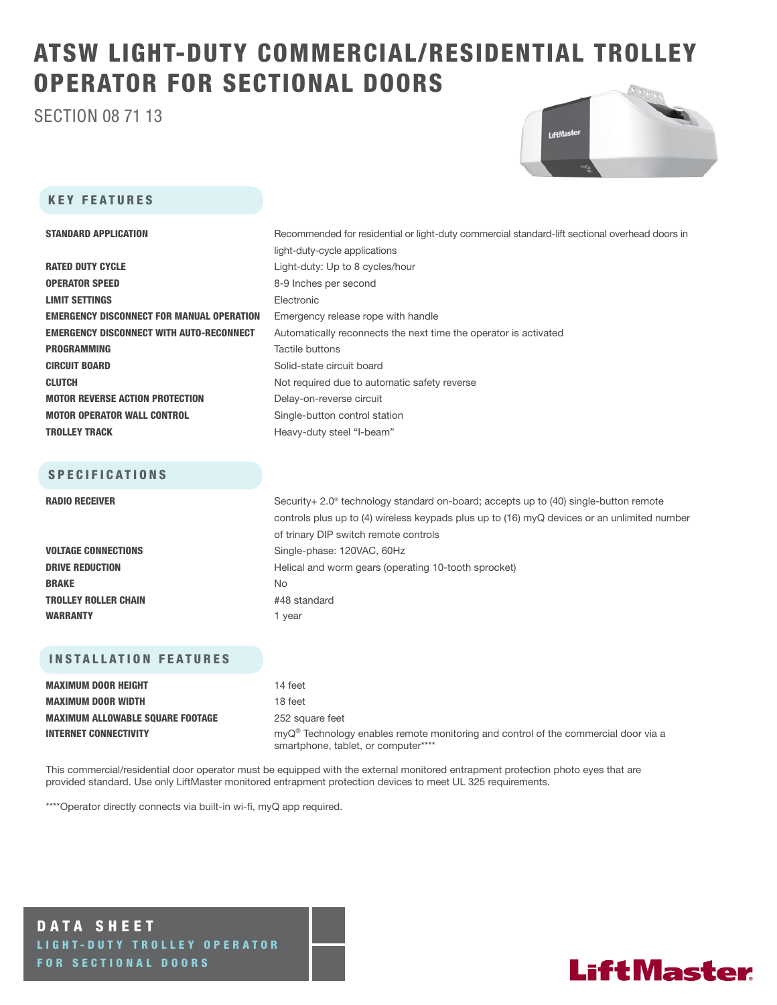# ATSW LIGHT-DUTY COMMERCIAL/RESIDENTIAL TROLLEY OPERATOR FOR SECTIONAL DOORS

light-duty-cycle applications

SECTION 08 71 13



### KEY FEATURES

#### **STANDARD APPLICATION** Recommended for residential or light-duty commercial standard-lift sectional overhead doors in

RATED DUTY CYCLE **Example 20** Light-duty: Up to 8 cycles/hour **OPERATOR SPEED** 8-9 Inches per second LIMIT SETTINGS Electronic EMERGENCY DISCONNECT FOR MANUAL OPERATION Emergency release rope with handle **EMERGENCY DISCONNECT WITH AUTO-RECONNECT** Automatically reconnects the next time the operator is activated **PROGRAMMING** Tactile buttons CIRCUIT BOARD Solid-state circuit board **CLUTCH** Not required due to automatic safety reverse MOTOR REVERSE ACTION PROTECTION Delay-on-reverse circuit **MOTOR OPERATOR WALL CONTROL** Single-button control station TROLLEY TRACK **Heavy-duty steel "I-beam"** 

#### **SPECIFICATIONS**

| <b>RADIO RECEIVER</b>      | Security + $2.0^\circ$ technology standard on-board; accepts up to (40) single-button remote    |  |  |  |
|----------------------------|-------------------------------------------------------------------------------------------------|--|--|--|
|                            | controls plus up to $(4)$ wireless keypads plus up to $(16)$ myQ devices or an unlimited number |  |  |  |
|                            | of trinary DIP switch remote controls                                                           |  |  |  |
| <b>VOLTAGE CONNECTIONS</b> | Single-phase: 120VAC, 60Hz                                                                      |  |  |  |
| <b>DRIVE REDUCTION</b>     | Helical and worm gears (operating 10-tooth sprocket)                                            |  |  |  |
| <b>BRAKE</b>               | No                                                                                              |  |  |  |
| TROLLEY ROLLER CHAIN       | #48 standard                                                                                    |  |  |  |
| WARRANTY                   | year                                                                                            |  |  |  |
|                            |                                                                                                 |  |  |  |

#### INSTALLATION FEATURES

| <b>MAXIMUM DOOR HEIGHT</b>              | 14 feet                                                                                                                                   |
|-----------------------------------------|-------------------------------------------------------------------------------------------------------------------------------------------|
| <b>MAXIMUM DOOR WIDTH</b>               | 18 feet                                                                                                                                   |
| <b>MAXIMUM ALLOWABLE SQUARE FOOTAGE</b> | 252 square feet                                                                                                                           |
| <b>INTERNET CONNECTIVITY</b>            | $\text{mvQ}^{\circ}$ Technology enables remote monitoring and control of the commercial door via a<br>smartphone, tablet, or computer**** |

This commercial/residential door operator must be equipped with the external monitored entrapment protection photo eyes that are provided standard. Use only LiftMaster monitored entrapment protection devices to meet UL 325 requirements.

\*\*\*\*Operator directly connects via built-in wi-fi, myQ app required.

DATA SHEET LIGHT-DUTY TROLLEY OPERATOR FOR SECTIONAL DOORS

## **LiftMaster**